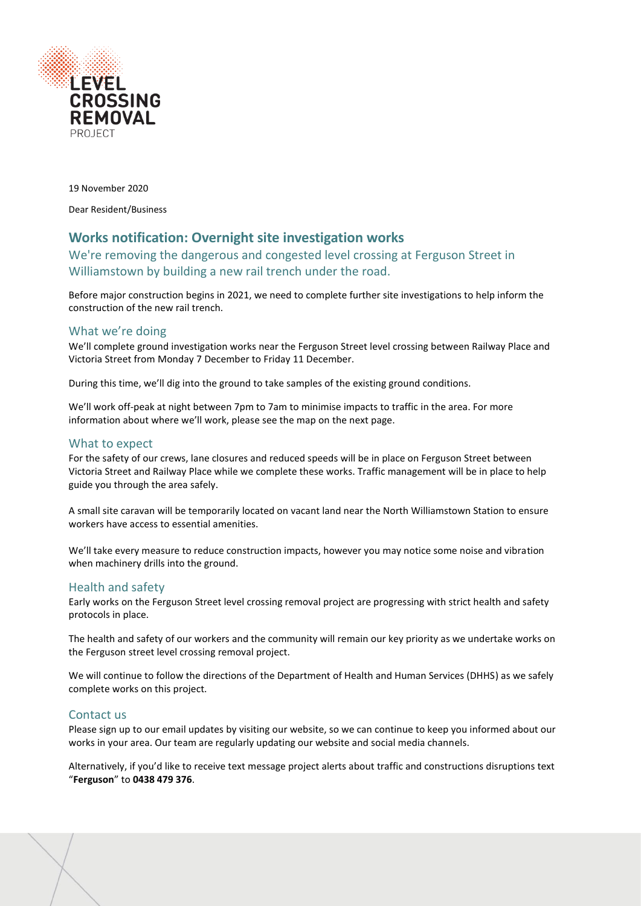

19 November 2020

Dear Resident/Business

## **Works notification: Overnight site investigation works**

We're removing the dangerous and congested level crossing at Ferguson Street in Williamstown by building a new rail trench under the road.

Before major construction begins in 2021, we need to complete further site investigations to help inform the construction of the new rail trench.

### What we're doing

We'll complete ground investigation works near the Ferguson Street level crossing between Railway Place and Victoria Street from Monday 7 December to Friday 11 December.

During this time, we'll dig into the ground to take samples of the existing ground conditions.

We'll work off-peak at night between 7pm to 7am to minimise impacts to traffic in the area. For more information about where we'll work, please see the map on the next page.

### What to expect

For the safety of our crews, lane closures and reduced speeds will be in place on Ferguson Street between Victoria Street and Railway Place while we complete these works. Traffic management will be in place to help guide you through the area safely.

A small site caravan will be temporarily located on vacant land near the North Williamstown Station to ensure workers have access to essential amenities.

We'll take every measure to reduce construction impacts, however you may notice some noise and vibration when machinery drills into the ground.

### Health and safety

Early works on the Ferguson Street level crossing removal project are progressing with strict health and safety protocols in place.

The health and safety of our workers and the community will remain our key priority as we undertake works on the Ferguson street level crossing removal project.

We will continue to follow the directions of the Department of Health and Human Services (DHHS) as we safely complete works on this project.

### Contact us

Please sign up to our email updates by visiting our website, so we can continue to keep you informed about our works in your area. Our team are regularly updating our website and social media channels.

Alternatively, if you'd like to receive text message project alerts about traffic and constructions disruptions text "**Ferguson**" to **0438 479 376**.